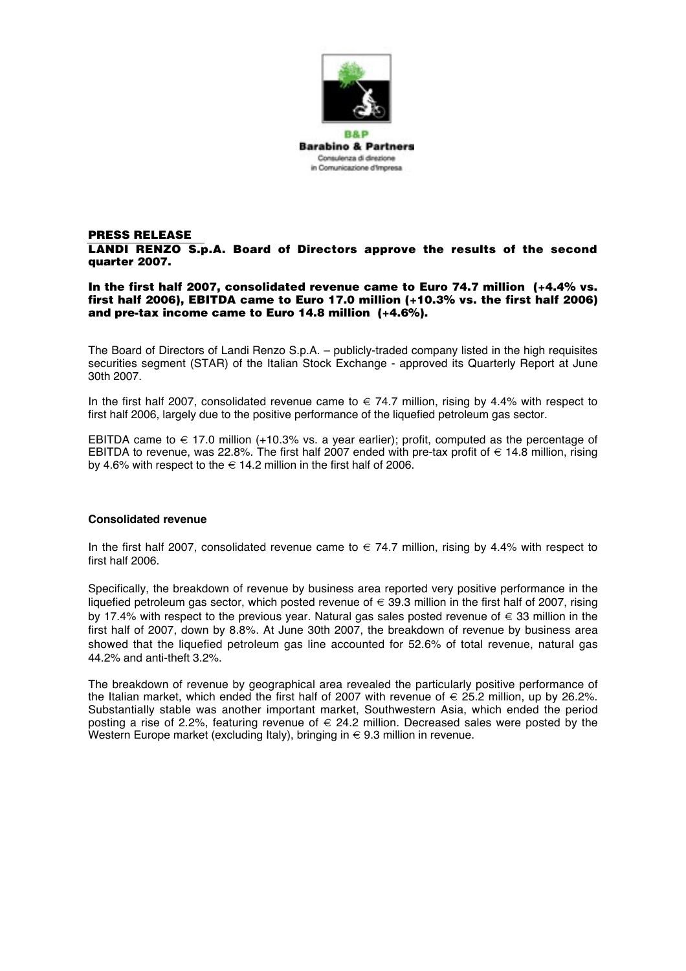

## **PRESS RELEASE LANDI RENZO S.p.A. Board of Directors approve the results of the second quarter 2007.**

# **In the first half 2007, consolidated revenue came to Euro 74.7 million (+4.4% vs. first half 2006), EBITDA came to Euro 17.0 million (+10.3% vs. the first half 2006) and pre-tax income came to Euro 14.8 million (+4.6%).**

The Board of Directors of Landi Renzo S.p.A. – publicly-traded company listed in the high requisites securities segment (STAR) of the Italian Stock Exchange - approved its Quarterly Report at June 30th 2007.

In the first half 2007, consolidated revenue came to  $\in$  74.7 million, rising by 4.4% with respect to first half 2006, largely due to the positive performance of the liquefied petroleum gas sector.

EBITDA came to  $\epsilon$  17.0 million (+10.3% vs. a year earlier); profit, computed as the percentage of EBITDA to revenue, was 22.8%. The first half 2007 ended with pre-tax profit of  $\in$  14.8 million, rising by 4.6% with respect to the  $\in$  14.2 million in the first half of 2006.

# **Consolidated revenue**

In the first half 2007, consolidated revenue came to  $\epsilon$  74.7 million, rising by 4.4% with respect to first half 2006.

Specifically, the breakdown of revenue by business area reported very positive performance in the liquefied petroleum gas sector, which posted revenue of  $\in$  39.3 million in the first half of 2007, rising by 17.4% with respect to the previous year. Natural gas sales posted revenue of € 33 million in the first half of 2007, down by 8.8%. At June 30th 2007, the breakdown of revenue by business area showed that the liquefied petroleum gas line accounted for 52.6% of total revenue, natural gas 44.2% and anti-theft 3.2%.

The breakdown of revenue by geographical area revealed the particularly positive performance of the Italian market, which ended the first half of 2007 with revenue of  $\in$  25.2 million, up by 26.2%. Substantially stable was another important market, Southwestern Asia, which ended the period posting a rise of 2.2%, featuring revenue of  $\epsilon$  24.2 million. Decreased sales were posted by the Western Europe market (excluding Italy), bringing in  $\in$  9.3 million in revenue.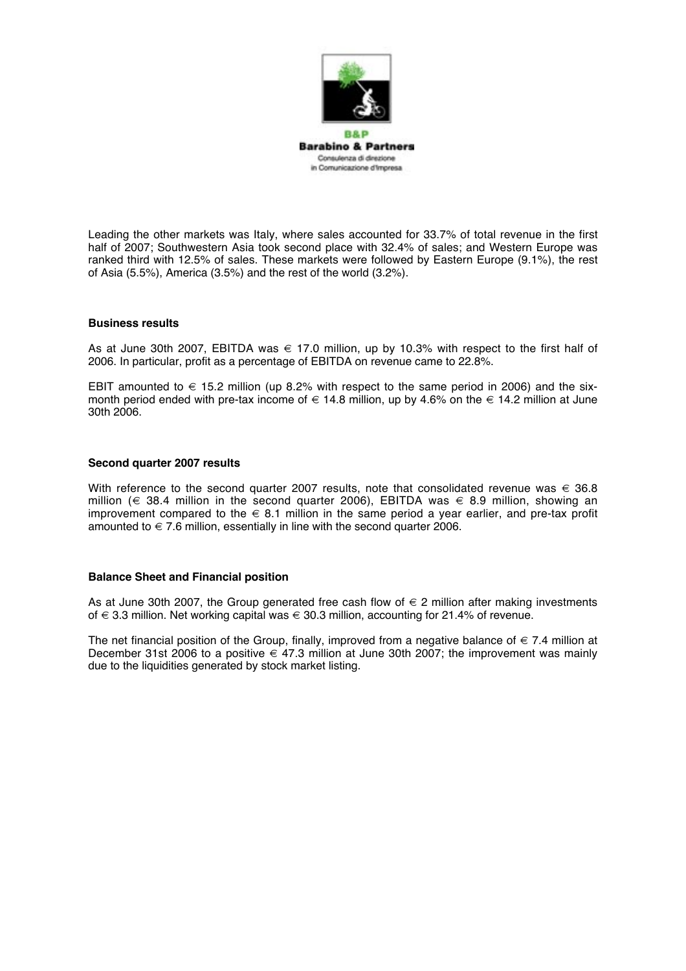

Leading the other markets was Italy, where sales accounted for 33.7% of total revenue in the first half of 2007; Southwestern Asia took second place with 32.4% of sales; and Western Europe was ranked third with 12.5% of sales. These markets were followed by Eastern Europe (9.1%), the rest of Asia (5.5%), America (3.5%) and the rest of the world (3.2%).

### **Business results**

As at June 30th 2007, EBITDA was  $\epsilon$  17.0 million, up by 10.3% with respect to the first half of 2006. In particular, profit as a percentage of EBITDA on revenue came to 22.8%.

EBIT amounted to  $\epsilon$  15.2 million (up 8.2% with respect to the same period in 2006) and the sixmonth period ended with pre-tax income of  $\in$  14.8 million, up by 4.6% on the  $\in$  14.2 million at June 30th 2006.

### **Second quarter 2007 results**

With reference to the second quarter 2007 results, note that consolidated revenue was  $\in$  36.8 million ( $\in$  38.4 million in the second quarter 2006), EBITDA was  $\in$  8.9 million, showing an improvement compared to the  $\in$  8.1 million in the same period a year earlier, and pre-tax profit amounted to  $\in$  7.6 million, essentially in line with the second quarter 2006.

# **Balance Sheet and Financial position**

As at June 30th 2007, the Group generated free cash flow of  $\in$  2 million after making investments of € 3.3 million. Net working capital was € 30.3 million, accounting for 21.4% of revenue.

The net financial position of the Group, finally, improved from a negative balance of  $\in 7.4$  million at December 31st 2006 to a positive  $\in$  47.3 million at June 30th 2007; the improvement was mainly due to the liquidities generated by stock market listing.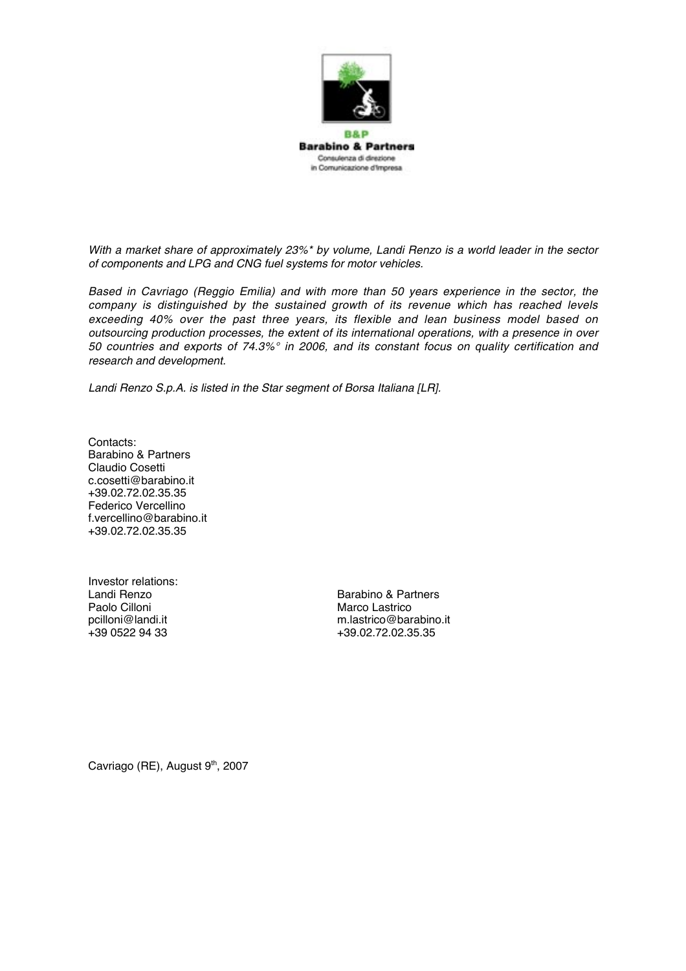

*With a market share of approximately 23%\* by volume, Landi Renzo is a world leader in the sector of components and LPG and CNG fuel systems for motor vehicles.*

*Based in Cavriago (Reggio Emilia) and with more than 50 years experience in the sector, the company is distinguished by the sustained growth of its revenue which has reached levels exceeding 40% over the past three years, its flexible and lean business model based on outsourcing production processes, the extent of its international operations, with a presence in over 50 countries and exports of 74.3%° in 2006, and its constant focus on quality certification and research and development.*

*Landi Renzo S.p.A. is listed in the Star segment of Borsa Italiana [LR].*

Contacts: Barabino & Partners Claudio Cosetti c.cosetti@barabino.it +39.02.72.02.35.35 Federico Vercellino f.vercellino@barabino.it +39.02.72.02.35.35

Investor relations:<br>Landi Renzo

Landi Renzo Barabino & Partners Marco Lastrico pcilloni@landi.it m.lastrico@barabino.it +39.02.72.02.35.35

Cavriago (RE), August 9<sup>th</sup>, 2007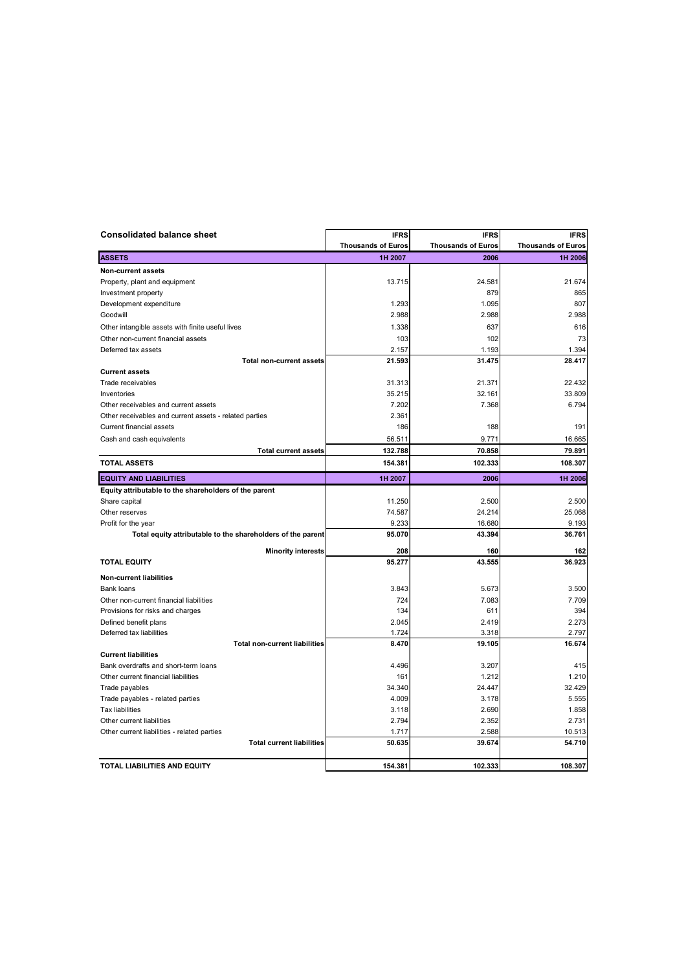| <b>Consolidated balance sheet</b>                           | <b>IFRS</b>                          | <b>IFRS</b>                       | <b>IFRS</b>                          |
|-------------------------------------------------------------|--------------------------------------|-----------------------------------|--------------------------------------|
| <b>ASSETS</b>                                               | <b>Thousands of Euros</b><br>1H 2007 | <b>Thousands of Euros</b><br>2006 | <b>Thousands of Euros</b><br>1H 2006 |
|                                                             |                                      |                                   |                                      |
| Non-current assets                                          |                                      |                                   |                                      |
| Property, plant and equipment                               | 13.715                               | 24.581                            | 21.674                               |
| Investment property                                         | 1.293                                | 879<br>1.095                      | 865<br>807                           |
| Development expenditure                                     |                                      |                                   |                                      |
| Goodwill                                                    | 2.988                                | 2.988                             | 2.988                                |
| Other intangible assets with finite useful lives            | 1.338                                | 637                               | 616                                  |
| Other non-current financial assets                          | 103                                  | 102                               | 73                                   |
| Deferred tax assets                                         | 2.157                                | 1.193                             | 1.394                                |
| <b>Total non-current assets</b>                             | 21.593                               | 31.475                            | 28.417                               |
| <b>Current assets</b>                                       |                                      |                                   |                                      |
| Trade receivables                                           | 31.313                               | 21.371                            | 22.432                               |
| Inventories                                                 | 35.215                               | 32.161                            | 33.809                               |
| Other receivables and current assets                        | 7.202                                | 7.368                             | 6.794                                |
| Other receivables and current assets - related parties      | 2.361                                |                                   |                                      |
| Current financial assets                                    | 186                                  | 188                               | 191                                  |
| Cash and cash equivalents                                   | 56.511                               | 9.771                             | 16.665                               |
| <b>Total current assets</b>                                 | 132.788                              | 70.858                            | 79.891                               |
| <b>TOTAL ASSETS</b>                                         | 154.381                              | 102.333                           | 108.307                              |
| <b>EQUITY AND LIABILITIES</b>                               | 1H 2007                              | 2006                              | 1H 2006                              |
| Equity attributable to the shareholders of the parent       |                                      |                                   |                                      |
| Share capital                                               | 11.250                               | 2.500                             | 2.500                                |
| Other reserves                                              | 74.587                               | 24.214                            | 25.068                               |
| Profit for the year                                         | 9.233                                | 16.680                            | 9.193                                |
| Total equity attributable to the shareholders of the parent | 95.070                               | 43.394                            | 36.761                               |
| <b>Minority interests</b>                                   | 208                                  | 160                               | 162                                  |
| <b>TOTAL EQUITY</b>                                         | 95.277                               | 43.555                            | 36.923                               |
| <b>Non-current liabilities</b>                              |                                      |                                   |                                      |
| <b>Bank loans</b>                                           | 3.843                                | 5.673                             | 3.500                                |
| Other non-current financial liabilities                     | 724                                  | 7.083                             | 7.709                                |
| Provisions for risks and charges                            | 134                                  | 611                               | 394                                  |
| Defined benefit plans                                       | 2.045                                | 2.419                             | 2.273                                |
| Deferred tax liabilities                                    | 1.724                                | 3.318                             | 2.797                                |
| <b>Total non-current liabilities</b>                        | 8.470                                | 19.105                            | 16.674                               |
| <b>Current liabilities</b>                                  |                                      |                                   |                                      |
| Bank overdrafts and short-term loans                        | 4.496                                | 3.207                             | 415                                  |
| Other current financial liabilities                         | 161                                  | 1.212                             | 1.210                                |
| Trade payables                                              | 34.340                               | 24.447                            | 32.429                               |
| Trade payables - related parties                            | 4.009                                | 3.178                             | 5.555                                |
| <b>Tax liabilities</b>                                      | 3.118                                | 2.690                             | 1.858                                |
| Other current liabilities                                   | 2.794                                | 2.352                             | 2.731                                |
| Other current liabilities - related parties                 | 1.717                                | 2.588                             | 10.513                               |
| <b>Total current liabilities</b>                            | 50.635                               | 39.674                            | 54.710                               |
|                                                             |                                      |                                   |                                      |
| TOTAL LIABILITIES AND EQUITY                                | 154.381                              | 102.333                           | 108.307                              |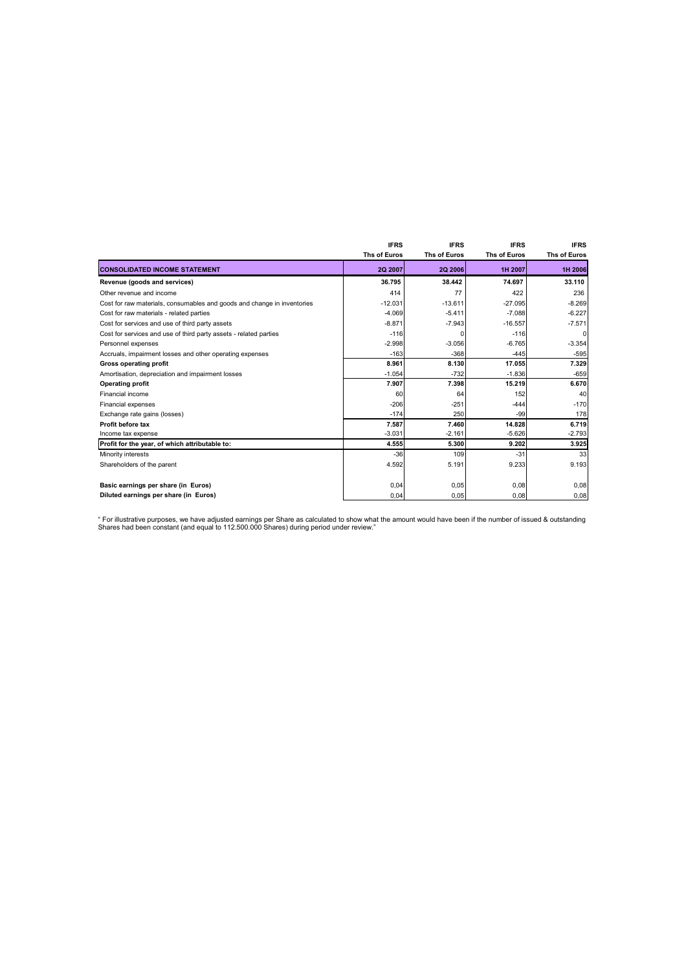|                                                                         | <b>IFRS</b>         | <b>IFRS</b>    | <b>IFRS</b>  | <b>IFRS</b>         |
|-------------------------------------------------------------------------|---------------------|----------------|--------------|---------------------|
|                                                                         | <b>Ths of Euros</b> | Ths of Euros   | Ths of Euros | <b>Ths of Euros</b> |
| <b>CONSOLIDATED INCOME STATEMENT</b>                                    | <b>2Q 2007</b>      | <b>2Q 2006</b> | 1H 2007      | 1H 2006             |
| Revenue (goods and services)                                            | 36.795              | 38.442         | 74.697       | 33.110              |
| Other revenue and income                                                | 414                 | 77             | 422          | 236                 |
| Cost for raw materials, consumables and goods and change in inventories | $-12.031$           | $-13.611$      | $-27.095$    | $-8.269$            |
| Cost for raw materials - related parties                                | $-4.069$            | $-5.411$       | $-7.088$     | $-6.227$            |
| Cost for services and use of third party assets                         | $-8.871$            | $-7.943$       | $-16.557$    | $-7.571$            |
| Cost for services and use of third party assets - related parties       | $-116$              | n              | $-116$       | $\Omega$            |
| Personnel expenses                                                      | $-2.998$            | $-3.056$       | $-6.765$     | $-3.354$            |
| Accruals, impairment losses and other operating expenses                | $-163$              | $-368$         | $-445$       | $-595$              |
| Gross operating profit                                                  | 8.961               | 8.130          | 17.055       | 7.329               |
| Amortisation, depreciation and impairment losses                        | $-1.054$            | $-732$         | $-1.836$     | $-659$              |
| <b>Operating profit</b>                                                 | 7.907               | 7.398          | 15.219       | 6.670               |
| Financial income                                                        | 60                  | 64             | 152          | 40                  |
| Financial expenses                                                      | $-206$              | $-251$         | $-444$       | $-170$              |
| Exchange rate gains (losses)                                            | $-174$              | 250            | -99          | 178                 |
| Profit before tax                                                       | 7.587               | 7.460          | 14.828       | 6.719               |
| Income tax expense                                                      | $-3.031$            | $-2.161$       | $-5.626$     | $-2.793$            |
| Profit for the year, of which attributable to:                          | 4.555               | 5.300          | 9.202        | 3.925               |
| Minority interests                                                      | $-36$               | 109            | $-31$        | 33                  |
| Shareholders of the parent                                              | 4.592               | 5.191          | 9.233        | 9.193               |
|                                                                         |                     |                |              |                     |
| Basic earnings per share (in Euros)                                     | 0,04                | 0,05           | 0,08         | 0,08                |
| Diluted earnings per share (in Euros)                                   | 0,04                | 0,05           | 0,08         | 0,08                |

" For illustrative purposes, we have adjusted earnings per Share as calculated to show what the amount would have been if the number of issued & outstanding<br>Shares had been constant (and equal to 112.500.000 Shares) during